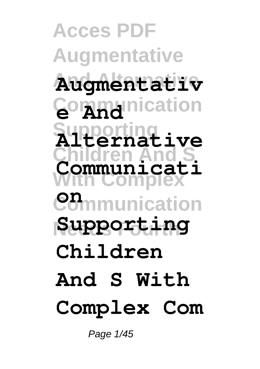**Acces PDF Augmentative And Alternative Augmentativ Communication Supporting Alternative Children And S With Complex Communication Needs Fourth Supporting Communicati Children And S With Complex Com**

Page 1/45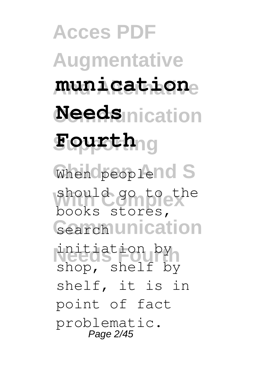**Acces PDF Augmentative And Alternative munication Needs** nication **Supporting Fourth** When peoplend S should go to the Gearch unication **Needs Fourth** initiation by books stores, shop, shelf by shelf, it is in point of fact problematic. Page 2/45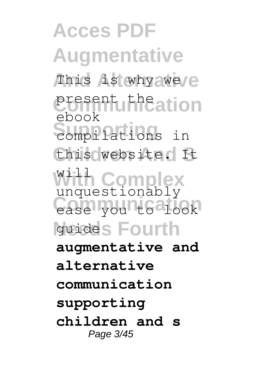**Acces PDF Augmentative** This is why aweve present the ation **Support**<br>
compilations in **Children And S** this website. It With Complex ease yount6alook guides Fourth ebook unquestionably **augmentative and alternative communication supporting children and s** Page 3/45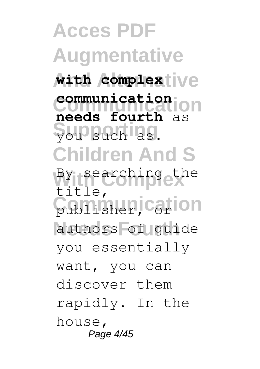**Acces PDF Augmentative**  $\text{with } \text{complexive}$ **Communication needs fourth** as **Supporting** you such as. **Children And S** By searching the publisher, carion authors of guide **communication** title, you essentially want, you can discover them rapidly. In the house, Page 4/45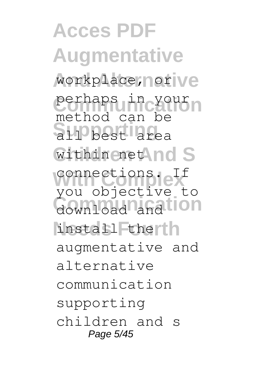**Acces PDF Augmentative** workplace, nor ve perhaps in your **Supporting** all best area Within enet And S **With Complex** connections. If download and tion install therth method can be you objective to augmentative and alternative communication supporting children and s Page 5/45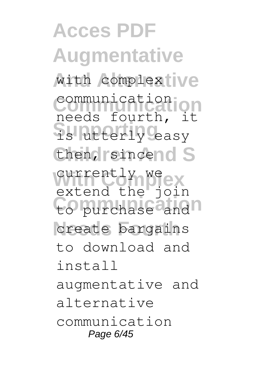**Acces PDF Augmentative** with complextive **Communication** needs fourth, it **Supporting** is utterly easy then, sincend S currently we ex to purchase and n create bargains communication extend the join to download and install augmentative and alternative communication Page 6/45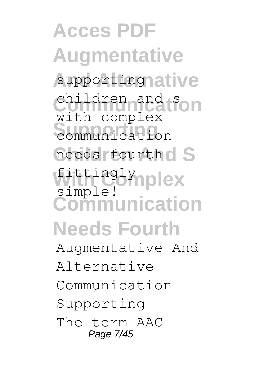**Acces PDF Augmentative** supporting ative children and Son External communication needs fourth d S **With Complex** fittingly **Communication Needs Fourth** with complex simple! Augmentative And Alternative Communication Supporting

The term AAC Page 7/45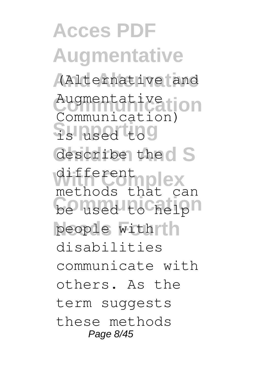**Acces PDF Augmentative And Alternative** (Alternative and Augmentative (ion **Supporting** is used to describe the d S different plex<br>
methods that can be used to helph people with th Communication) different disabilities communicate with others. As the term suggests these methods Page 8/45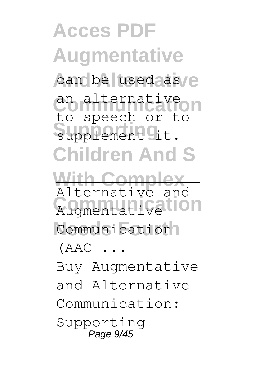**Acces PDF Augmentative** can be used as e **Communication** an alternative supplement <sup>of</sup> t. **Children And S With Complex** Augmentative<sup>tion</sup> Communication<sup>1</sup> to speech or to Alternative and  $(AAC \ldots$ 

Buy Augmentative and Alternative Communication: Supporting Page 9/45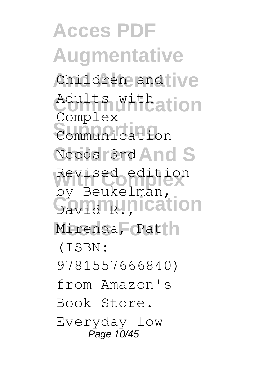**Acces PDF Augmentative** Children and ive Adults with ation **Supporting** Communication Needs 3rd And S Revised edition **David R., Proprietion** Mirenda, Patin Complex by Beukelman, (ISBN: 9781557666840) from Amazon's Book Store. Everyday low Page 10/45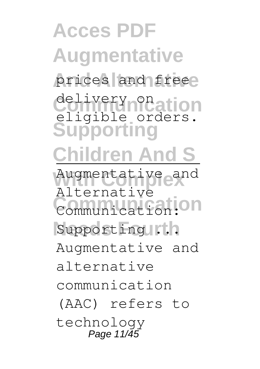## **Acces PDF Augmentative** prices and freee delivery on ation **Supporting Children And S** Augmentative and **Communication** Communication: Supporting ... eligible orders. Alternative Augmentative and alternative communication (AAC) refers to technology Page 11/45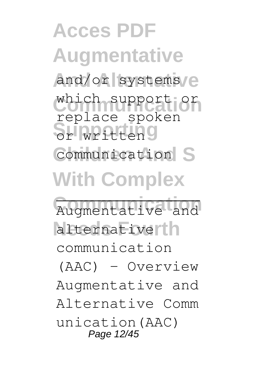**Acces PDF Augmentative** and/or systems/e which support or **Supporting** or written Communication S **With Complex** replace spoken

Augmentative and alternativerth communication (AAC) - Overview Augmentative and Alternative Comm unication(AAC) Page 12/45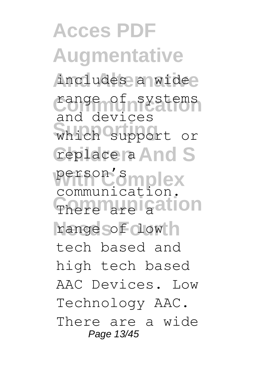**Acces PDF Augmentative** includes a widee range of systems which support or **Ceplace ra And S** person's mplex There are gation range of dow h and devices person Smplex<br>communication. tech based and high tech based AAC Devices. Low Technology AAC. There are a wide Page 13/45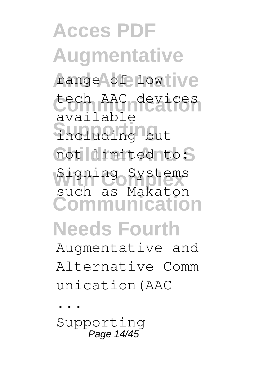**Acces PDF Augmentative** range of low ive tech AAC devices **Supporting** including but not dimited to: Signing Systems **Communication Needs Fourth** available such as Makaton Augmentative and

Alternative Comm unication(AAC

... Supporting Page 14/45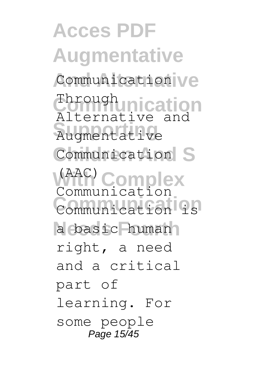**Acces PDF Augmentative** Communication ve **Through nication Supporting** Augmentative Communication S **With Complex Communication** Communication is a basic human Alternative and (AAC) Communication right, a need and a critical part of learning. For some people Page 15/45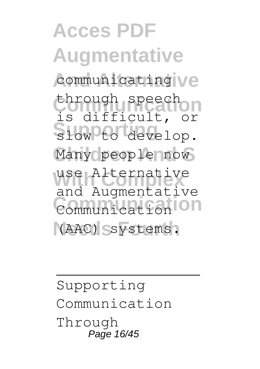**Acces PDF Augmentative** communicating ve through speech slow to develop. Many people now use Alternative **Communication** Communication (AAC) systems. is difficult, or and Augmentative

Supporting Communication Through Page 16/45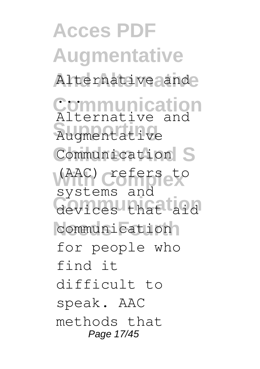**Acces PDF Augmentative** Alternative ande **Communication** ... **Supporting** Augmentative Communication S (AAC) crefers to devices that aid communication Alternative and systems and for people who find it difficult to speak. AAC methods that Page 17/45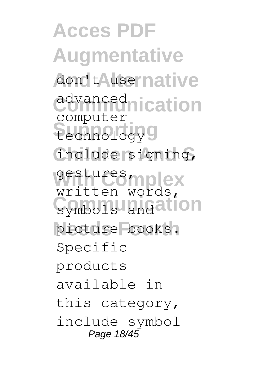**Acces PDF Augmentative** don't Ausernative **advanced**<br> **advanced**<br> **identified** technology<sup>9</sup> **Children And S** include signing, gestures mplex symbols and ation picture books. computer written words, Specific products available in this category, include symbol Page 18/45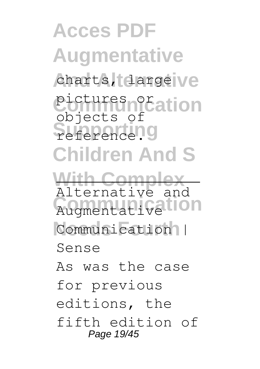**Acces PDF Augmentative** charts, darge ve pictures of ation reference.9 **Children And S With Complex** Augmentative<sup>tion</sup> Communication | objects of Alternative and Sense As was the case for previous editions, the fifth edition of Page 19/45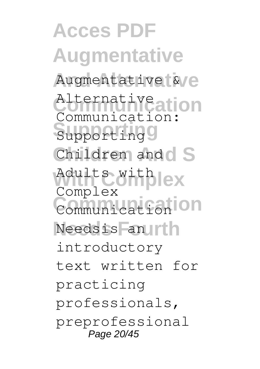**Acces PDF Augmentative** Augmentative<sup>[6</sup>/e Alternative ation **Supporting** Supporting Children and S Adults with ex **Communication** Communication Needsis an Irth Communication: Complex introductory text written for practicing professionals, preprofessional Page 20/45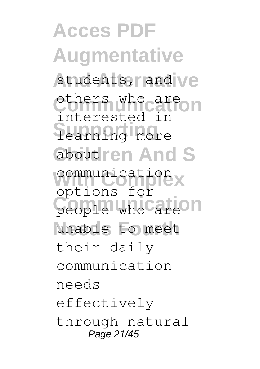**Acces PDF Augmentative** students, and ve others who are on **Supporting** learning more about **ren** And S communication people who are n unable to meet interested in options for their daily communication needs effectively through natural Page 21/45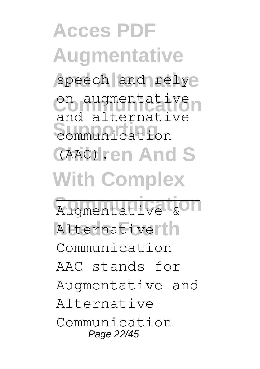**Acces PDF Augmentative** speech and relye on augmentative communication **(AAC).ren And S With Complex** Augmentative & and alternative

Alternativerth Communication AAC stands for Augmentative and Alternative Communication Page 22/45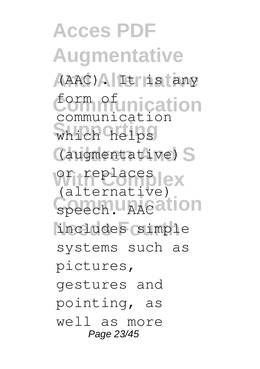**Acces PDF Augmentative And Alternative** (AAC). It is any *<u>Cormofunication</u>* which helps (augmentative) S or replaces ex Speech. AACation includes simple communication (alternative) systems such as pictures, gestures and pointing, as well as more Page 23/45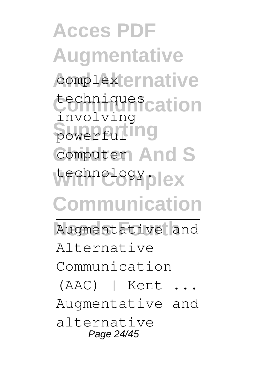**Acces PDF Augmentative** complex ernative techniques<sub>cation</sub> **Support 1999** Computer<sub>1</sub> And S technology<sub>plex</sub> **Communication** Augmentative and involving Alternative Communication (AAC) | Kent ... Augmentative and alternative Page 24/45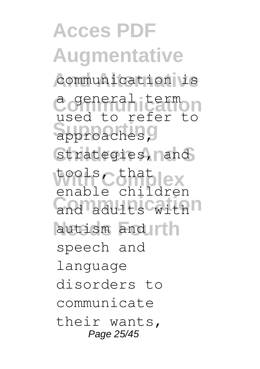**Acces PDF Augmentative** communication is **Communication** a general term approaches, Strategies, nand tools Cohat lex and adults with autism and Irth used to refer to enable children speech and language disorders to communicate their wants, Page 25/45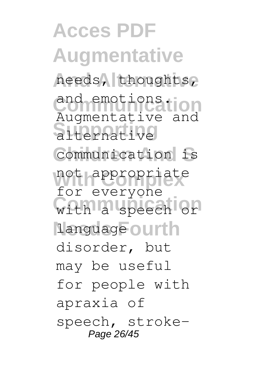**Acces PDF Augmentative And Alternative** needs, thoughts, and emotions.**ion Supporting** alternative Communication is not appropriate with a speech or 1anguage ourth Augmentative and for everyone disorder, but may be useful for people with apraxia of speech, stroke-Page 26/45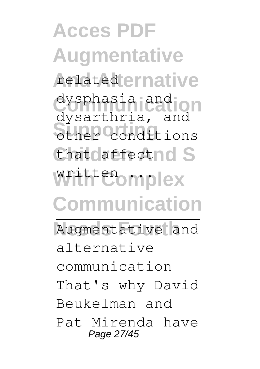**Acces PDF Augmentative** related ernative dysphasia and **on Supporting** other conditions that affectnd S written ... **Communication** Augmentative and dysarthria, and alternative communication That's why David Beukelman and Pat Mirenda have Page 27/45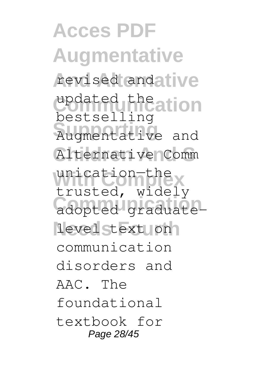**Acces PDF Augmentative** revised and ative updated the ation **Supporting** Augmentative and Alternative Comm unication-the<br>trusted, widely **Communication** adopted graduatelevel stext on bestselling unication—the communication disorders and AAC. The foundational textbook for Page 28/45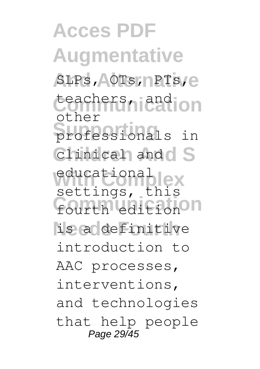**Acces PDF Augmentative** SLPs, **AOTs, PTs, e** teachers, and **ion Supporting** professionals in Chinical and S educational fourth edition on is a definitive other settings, this introduction to AAC processes, interventions, and technologies that help people Page 29/45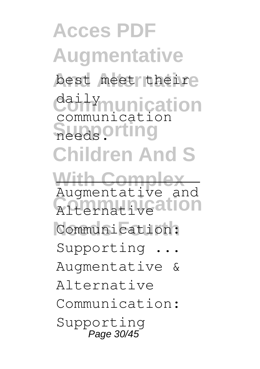**Acces PDF Augmentative** best meet theire **Communication** daily **Supporting Children And S With Complex Alternative ation** Communication: communication Augmentative and Supporting ... Augmentative & Alternative Communication: Supporting Page 30/45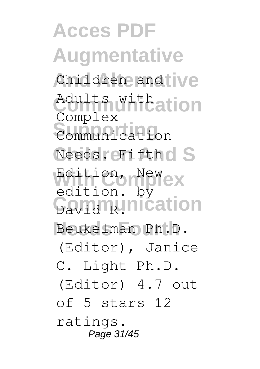**Acces PDF Augmentative** Children and ive Adults with ation **Supporting** Communication Needs. Fifthd S Edition, Newex **Cavid R.Inication** Beukelman Ph.D. Complex edition. by (Editor), Janice C. Light Ph.D. (Editor) 4.7 out of 5 stars 12 ratings. Page 31/45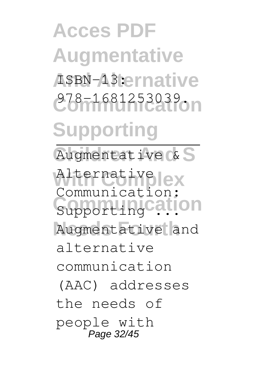**Acces PDF Augmentative** AsBN-13:ernative **Communication** 978-1681253039. **Supporting** Augmentative & S Alternativelex Support ingcation Augmentative and Communication: alternative communication (AAC) addresses the needs of people with Page 32/45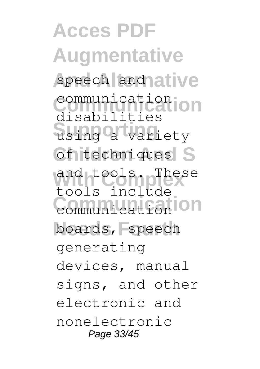**Acces PDF Augmentative** speech and ative **Communication** communication **Supporting** using a variety **Cf** techniques S and tools. The:<br>tools include **Communication** communication boards, speech disabilities and tools generating devices, manual signs, and other electronic and nonelectronic Page 33/45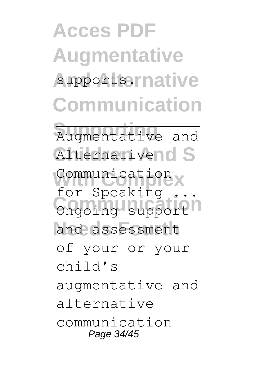**Acces PDF Augmentative** supportsernative **Communication Supporting** Augmentative and

Alternativend S

Communication **Communication** for Speaking

and assessment

of your or your

child's

augmentative and

alternative

communication Page 34/45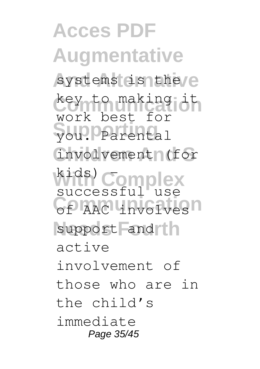**Acces PDF Augmentative** systems is the e **Communication** key to making it **Supporting** you. Parental **Children And S** involvement (for **With Complex** successful use **Communication** support and th work best for kids) – active involvement of those who are in the child's immediate Page 35/45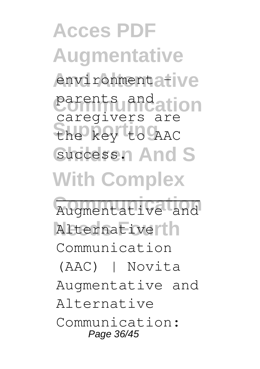**Acces PDF Augmentative** environmentative parents and ation **Supporting** the key to AAC Success<sub>n</sub> And S **With Complex** Augmentative and caregivers are

Alternativerth Communication (AAC) | Novita Augmentative and

Alternative

Communication: Page 36/45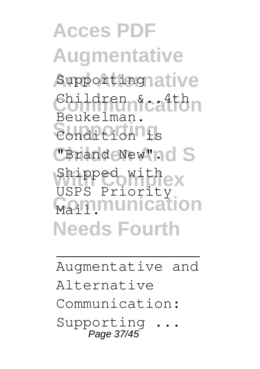**Acces PDF Augmentative** Supporting ative Children &ca<sup>4th</sup> **Supporting** Condition is **"Brand New"nd S** Shipped with ex **Mainmunication Needs Fourth** Beukelman. USPS Priority

## Augmentative and Alternative Communication: Supporting Page 37/45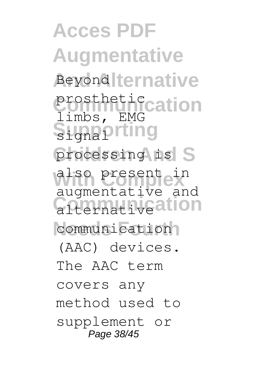**Acces PDF Augmentative Beyond ternative** prosthetic cation Supporting processing is S also present in **Communication** communication limbs, EMG augmentative and (AAC) devices. The AAC term covers any method used to supplement or Page 38/45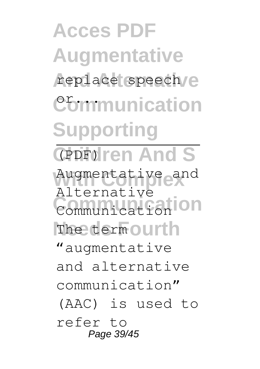**Acces PDF Augmentative** replace speech/e **Communication Supporting** GPDF<sub>oll</sub>ren And S Augmentative and **Communication** Communication The term ourth Alternative "augmentative and alternative communication" (AAC) is used to refer to Page 39/45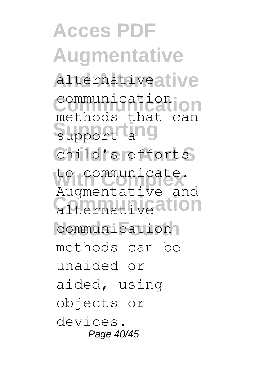**Acces PDF Augmentative And Alternative** alternative **Communication** methods that can support and Child's efforts **With Complex** to communicate. **Confirmative ation** communication communication Augmentative and methods can be unaided or aided, using objects or devices. Page 40/45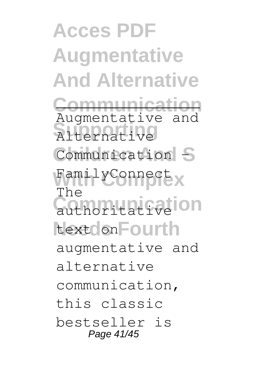**Acces PDF Augmentative And Alternative Communication Supporting** Alternative Communication –S FamilyConnect x **Communicative ion** text on **Fourth** Augmentative and The augmentative and alternative communication, this classic bestseller is Page 41/45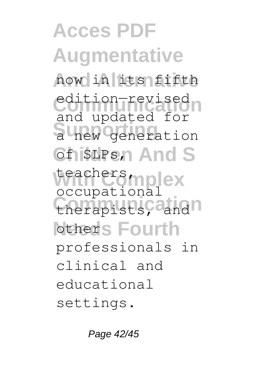**Acces PDF Augmentative And Alternative** now in its fifth edition-revised a new generation GfisLPs, And S teachers mplex therapists, and **Nother's Fourth** and updated for Leachers molex professionals in clinical and educational settings.

Page 42/45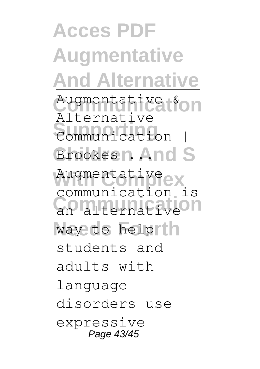**Acces PDF Augmentative And Alternative** Augmentative & on **Supporting** Communication | Brookes n. And S Augmentative<sub>e</sub>x **Communication** an alternative way to helprin Alternative communication is students and adults with language disorders use expressive Page 43/45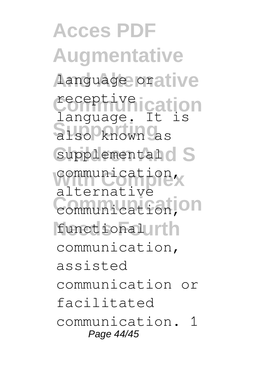**Acces PDF Augmentative And Alternative** language or **Communication** receptive also known as Supplemental<sup>d</sup> S **With Complex** communication, **Communication** communication, functional urth language. It is alternative communication, assisted communication or facilitated communication. 1 Page 44/45